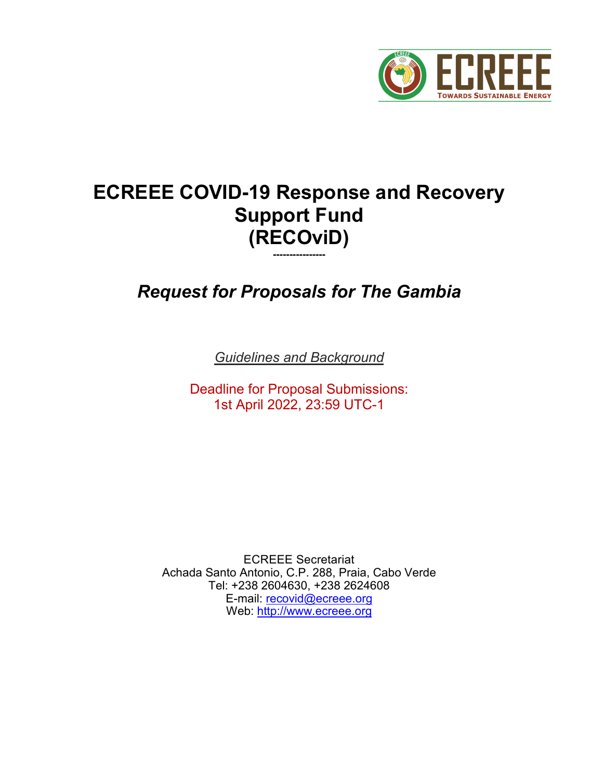

# **ECREEE COVID-19 Response and Recovery Support Fund (RECOviD)**

*Request for Proposals for The Gambia*

**----------------**

*Guidelines and Background*

Deadline for Proposal Submissions: 1st April 2022, 23:59 UTC-1

ECREEE Secretariat Achada Santo Antonio, C.P. 288, Praia, Cabo Verde Tel: +238 2604630, +238 2624608 E-mail: recovid@ecreee.org Web: [http://www.ecreee.org](http://www.ecreee.org/)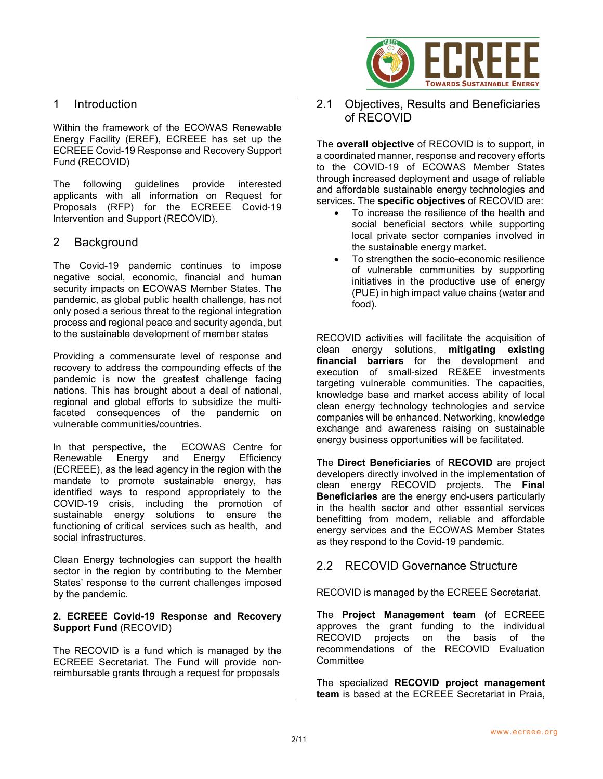

Within the framework of the ECOWAS Renewable Energy Facility (EREF), ECREEE has set up the ECREEE Covid-19 Response and Recovery Support Fund (RECOVID)

The following guidelines provide interested applicants with all information on Request for Proposals (RFP) for the ECREEE Covid-19 Intervention and Support (RECOVID).

#### 2 Background

The Covid-19 pandemic continues to impose negative social, economic, financial and human security impacts on ECOWAS Member States. The pandemic, as global public health challenge, has not only posed a serious threat to the regional integration process and regional peace and security agenda, but to the sustainable development of member states

Providing a commensurate level of response and recovery to address the compounding effects of the pandemic is now the greatest challenge facing nations. This has brought about a deal of national, regional and global efforts to subsidize the multifaceted consequences of the pandemic on vulnerable communities/countries.

In that perspective, the ECOWAS Centre for<br>Renewable Energy and Energy Efficiency Renewable Energy and Energy Efficiency (ECREEE), as the lead agency in the region with the mandate to promote sustainable energy, has identified ways to respond appropriately to the COVID-19 crisis, including the promotion of sustainable energy solutions to ensure the functioning of critical services such as health, and social infrastructures.

Clean Energy technologies can support the health sector in the region by contributing to the Member States' response to the current challenges imposed by the pandemic.

#### **2. ECREEE Covid-19 Response and Recovery Support Fund** (RECOVID)

The RECOVID is a fund which is managed by the ECREEE Secretariat. The Fund will provide nonreimbursable grants through a request for proposals



2.1 Objectives, Results and Beneficiaries of RECOVID

The **overall objective** of RECOVID is to support, in a coordinated manner, response and recovery efforts to the COVID-19 of ECOWAS Member States through increased deployment and usage of reliable and affordable sustainable energy technologies and services. The **specific objectives** of RECOVID are:

- To increase the resilience of the health and social beneficial sectors while supporting local private sector companies involved in the sustainable energy market.
- To strengthen the socio-economic resilience of vulnerable communities by supporting initiatives in the productive use of energy (PUE) in high impact value chains (water and food).

RECOVID activities will facilitate the acquisition of clean energy solutions, **mitigating existing financial barriers** for the development and execution of small-sized RE&EE investments targeting vulnerable communities. The capacities, knowledge base and market access ability of local clean energy technology technologies and service companies will be enhanced. Networking, knowledge exchange and awareness raising on sustainable energy business opportunities will be facilitated.

The **Direct Beneficiaries** of **RECOVID** are project developers directly involved in the implementation of clean energy RECOVID projects. The **Final Beneficiaries** are the energy end-users particularly in the health sector and other essential services benefitting from modern, reliable and affordable energy services and the ECOWAS Member States as they respond to the Covid-19 pandemic.

#### 2.2 RECOVID Governance Structure

RECOVID is managed by the ECREEE Secretariat.

The **Project Management team (**of ECREEE approves the grant funding to the individual<br>RECOVID projects on the basis of the on the basis of the recommendations of the RECOVID Evaluation **Committee** 

The specialized **RECOVID project management team** is based at the ECREEE Secretariat in Praia,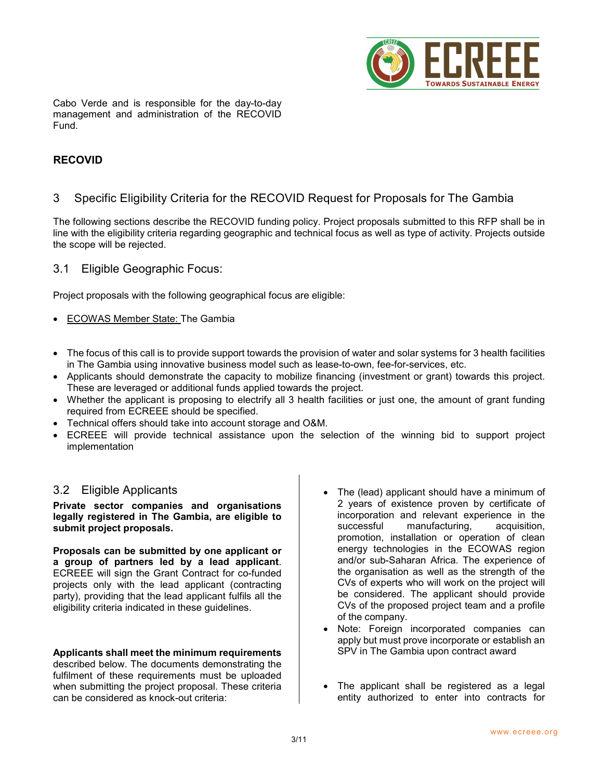

Cabo Verde and is responsible for the day-to-day management and administration of the RECOVID Fund.

#### **RECOVID**

#### 3 Specific Eligibility Criteria for the RECOVID Request for Proposals for The Gambia

The following sections describe the RECOVID funding policy. Project proposals submitted to this RFP shall be in line with the eligibility criteria regarding geographic and technical focus as well as type of activity. Projects outside the scope will be rejected.

#### 3.1 Eligible Geographic Focus:

Project proposals with the following geographical focus are eligible:

- ECOWAS Member State: The Gambia
- The focus of this call is to provide support towards the provision of water and solar systems for 3 health facilities in The Gambia using innovative business model such as lease-to-own, fee-for-services, etc.
- Applicants should demonstrate the capacity to mobilize financing (investment or grant) towards this project. These are leveraged or additional funds applied towards the project.
- Whether the applicant is proposing to electrify all 3 health facilities or just one, the amount of grant funding required from ECREEE should be specified.
- Technical offers should take into account storage and O&M.
- ECREEE will provide technical assistance upon the selection of the winning bid to support project implementation

#### 3.2 Eligible Applicants

**Private sector companies and organisations legally registered in The Gambia, are eligible to submit project proposals.**

**Proposals can be submitted by one applicant or a group of partners led by a lead applicant**. ECREEE will sign the Grant Contract for co-funded projects only with the lead applicant (contracting party), providing that the lead applicant fulfils all the eligibility criteria indicated in these guidelines.

#### **Applicants shall meet the minimum requirements**

described below. The documents demonstrating the fulfilment of these requirements must be uploaded when submitting the project proposal. These criteria can be considered as knock-out criteria:

- The (lead) applicant should have a minimum of 2 years of existence proven by certificate of incorporation and relevant experience in the successful manufacturing, acquisition, promotion, installation or operation of clean energy technologies in the ECOWAS region and/or sub-Saharan Africa. The experience of the organisation as well as the strength of the CVs of experts who will work on the project will be considered. The applicant should provide CVs of the proposed project team and a profile of the company.
- Note: Foreign incorporated companies can apply but must prove incorporate or establish an SPV in The Gambia upon contract award
- The applicant shall be registered as a legal entity authorized to enter into contracts for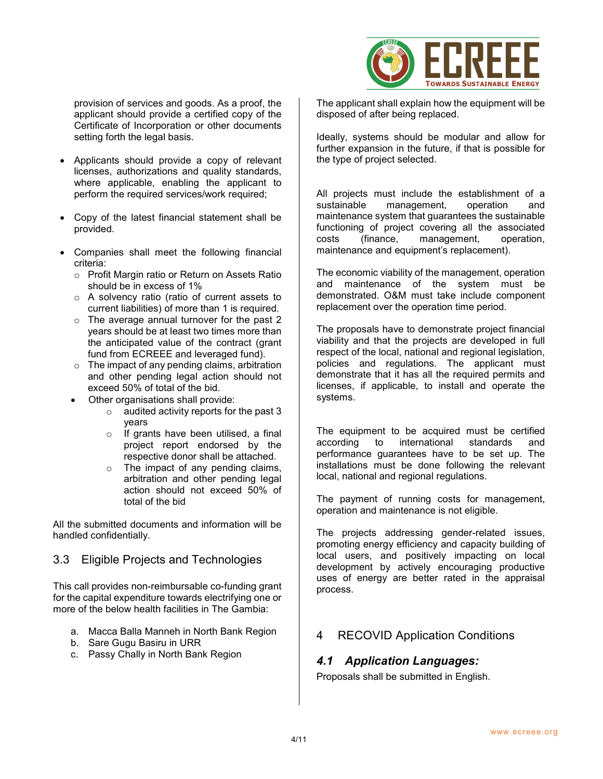

provision of services and goods. As a proof, the applicant should provide a certified copy of the Certificate of Incorporation or other documents setting forth the legal basis.

- Applicants should provide a copy of relevant licenses, authorizations and quality standards, where applicable, enabling the applicant to perform the required services/work required;
- Copy of the latest financial statement shall be provided.
- Companies shall meet the following financial criteria:
	- o Profit Margin ratio or Return on Assets Ratio should be in excess of 1%
	- o A solvency ratio (ratio of current assets to current liabilities) of more than 1 is required.
	- o The average annual turnover for the past 2 years should be at least two times more than the anticipated value of the contract (grant fund from ECREEE and leveraged fund).
	- $\circ$  The impact of any pending claims, arbitration and other pending legal action should not exceed 50% of total of the bid.
	- Other organisations shall provide:
		- o audited activity reports for the past 3 years
		- o If grants have been utilised, a final project report endorsed by the respective donor shall be attached.
		- o The impact of any pending claims, arbitration and other pending legal action should not exceed 50% of total of the bid

All the submitted documents and information will be handled confidentially.

## 3.3 Eligible Projects and Technologies

This call provides non-reimbursable co-funding grant for the capital expenditure towards electrifying one or more of the below health facilities in The Gambia:

- a. Macca Balla Manneh in North Bank Region
- b. Sare Gugu Basiru in URR
- c. Passy Chally in North Bank Region

The applicant shall explain how the equipment will be disposed of after being replaced.

Ideally, systems should be modular and allow for further expansion in the future, if that is possible for the type of project selected.

All projects must include the establishment of a<br>sustainable management. operation and management, operation and maintenance system that guarantees the sustainable functioning of project covering all the associated costs (finance, management, operation, maintenance and equipment's replacement).

The economic viability of the management, operation and maintenance of the system must be demonstrated. O&M must take include component replacement over the operation time period.

The proposals have to demonstrate project financial viability and that the projects are developed in full respect of the local, national and regional legislation, policies and regulations. The applicant must demonstrate that it has all the required permits and licenses, if applicable, to install and operate the systems.

The equipment to be acquired must be certified according to international standards and performance guarantees have to be set up. The installations must be done following the relevant local, national and regional regulations.

The payment of running costs for management, operation and maintenance is not eligible.

The projects addressing gender-related issues, promoting energy efficiency and capacity building of local users, and positively impacting on local development by actively encouraging productive uses of energy are better rated in the appraisal process.

# 4 RECOVID Application Conditions

## *4.1 Application Languages:*

Proposals shall be submitted in English.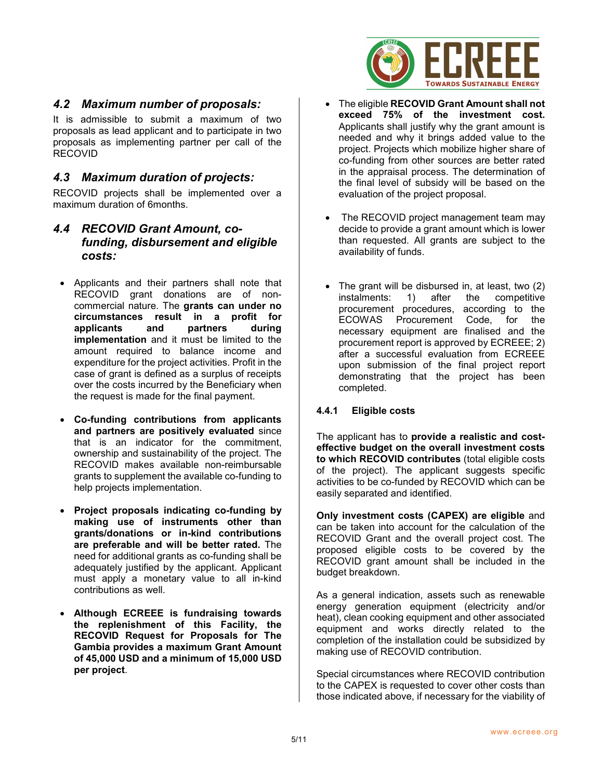

## *4.2 Maximum number of proposals:*

It is admissible to submit a maximum of two proposals as lead applicant and to participate in two proposals as implementing partner per call of the RECOVID

#### *4.3 Maximum duration of projects:*

RECOVID projects shall be implemented over a maximum duration of 6months.

#### *4.4 RECOVID Grant Amount, cofunding, disbursement and eligible costs:*

- Applicants and their partners shall note that RECOVID grant donations are of noncommercial nature. The **grants can under no circumstances result in a profit for applicants and partners during implementation** and it must be limited to the amount required to balance income and expenditure for the project activities. Profit in the case of grant is defined as a surplus of receipts over the costs incurred by the Beneficiary when the request is made for the final payment.
- **Co-funding contributions from applicants and partners are positively evaluated** since that is an indicator for the commitment, ownership and sustainability of the project. The RECOVID makes available non-reimbursable grants to supplement the available co-funding to help projects implementation.
- **Project proposals indicating co-funding by making use of instruments other than grants/donations or in-kind contributions are preferable and will be better rated.** The need for additional grants as co-funding shall be adequately justified by the applicant. Applicant must apply a monetary value to all in-kind contributions as well.
- **Although ECREEE is fundraising towards the replenishment of this Facility, the RECOVID Request for Proposals for The Gambia provides a maximum Grant Amount of 45,000 USD and a minimum of 15,000 USD per project**.
- The eligible **RECOVID Grant Amount shall not exceed 75% of the investment cost.** Applicants shall justify why the grant amount is needed and why it brings added value to the project. Projects which mobilize higher share of co-funding from other sources are better rated in the appraisal process. The determination of the final level of subsidy will be based on the evaluation of the project proposal.
- The RECOVID project management team may decide to provide a grant amount which is lower than requested. All grants are subject to the availability of funds.
- The grant will be disbursed in, at least, two (2) instalments: 1) after the competitive procurement procedures, according to the Procurement Code, for the necessary equipment are finalised and the procurement report is approved by ECREEE; 2) after a successful evaluation from ECREEE upon submission of the final project report demonstrating that the project has been completed.

#### **4.4.1 Eligible costs**

The applicant has to **provide a realistic and costeffective budget on the overall investment costs to which RECOVID contributes** (total eligible costs of the project). The applicant suggests specific activities to be co-funded by RECOVID which can be easily separated and identified.

**Only investment costs (CAPEX) are eligible** and can be taken into account for the calculation of the RECOVID Grant and the overall project cost. The proposed eligible costs to be covered by the RECOVID grant amount shall be included in the budget breakdown.

As a general indication, assets such as renewable energy generation equipment (electricity and/or heat), clean cooking equipment and other associated equipment and works directly related to the completion of the installation could be subsidized by making use of RECOVID contribution.

Special circumstances where RECOVID contribution to the CAPEX is requested to cover other costs than those indicated above, if necessary for the viability of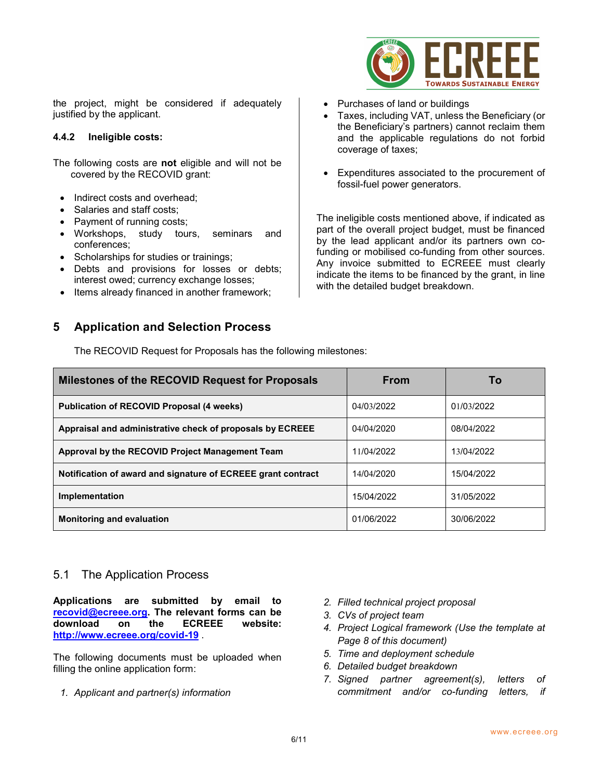

the project, might be considered if adequately justified by the applicant.

#### **4.4.2 Ineligible costs:**

The following costs are **not** eligible and will not be covered by the RECOVID grant:

- Indirect costs and overhead:
- Salaries and staff costs;
- Payment of running costs;
- Workshops, study tours, seminars and conferences;
- Scholarships for studies or trainings;
- Debts and provisions for losses or debts; interest owed; currency exchange losses;
- Items already financed in another framework;

# **5 Application and Selection Process**

The RECOVID Request for Proposals has the following milestones:

- Purchases of land or buildings
- Taxes, including VAT, unless the Beneficiary (or the Beneficiary's partners) cannot reclaim them and the applicable regulations do not forbid coverage of taxes;
- Expenditures associated to the procurement of fossil-fuel power generators.

The ineligible costs mentioned above, if indicated as part of the overall project budget, must be financed by the lead applicant and/or its partners own cofunding or mobilised co-funding from other sources. Any invoice submitted to ECREEE must clearly indicate the items to be financed by the grant, in line with the detailed budget breakdown.

| Milestones of the RECOVID Request for Proposals              | <b>From</b> | Τo         |
|--------------------------------------------------------------|-------------|------------|
| <b>Publication of RECOVID Proposal (4 weeks)</b>             | 04/03/2022  | 01/03/2022 |
| Appraisal and administrative check of proposals by ECREEE    | 04/04/2020  | 08/04/2022 |
| Approval by the RECOVID Project Management Team              | 11/04/2022  | 13/04/2022 |
| Notification of award and signature of ECREEE grant contract | 14/04/2020  | 15/04/2022 |
| Implementation                                               | 15/04/2022  | 31/05/2022 |
| <b>Monitoring and evaluation</b>                             | 01/06/2022  | 30/06/2022 |

# 5.1 The Application Process

**Applications are submitted by email to recovid@ecreee.org. The relevant forms can be**  download **<http://www.ecreee.org/covid-19>** .

The following documents must be uploaded when filling the online application form:

*1. Applicant and partner(s) information* 

- *2. Filled technical project proposal*
- *3. CVs of project team*
- *4. Project Logical framework (Use the template at Page 8 of this document)*
- *5. Time and deployment schedule*
- *6. Detailed budget breakdown*
- *7. Signed partner agreement(s), letters of commitment and/or co-funding letters, if*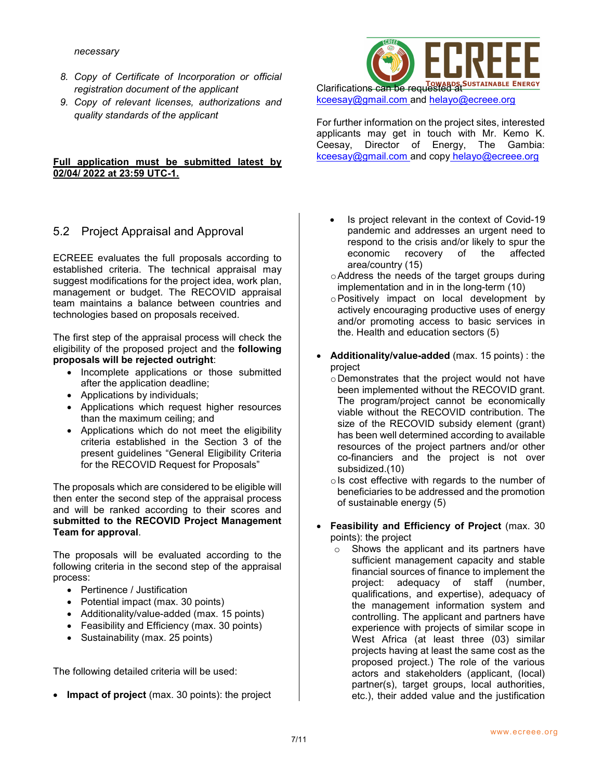*necessary*

- *8. Copy of Certificate of Incorporation or official registration document of the applicant*
- *9. Copy of relevant licenses, authorizations and quality standards of the applicant*

#### **Full application must be submitted latest by 02/04/ 2022 at 23:59 UTC-1.**

# 5.2 Project Appraisal and Approval

ECREEE evaluates the full proposals according to established criteria. The technical appraisal may suggest modifications for the project idea, work plan, management or budget. The RECOVID appraisal team maintains a balance between countries and technologies based on proposals received.

The first step of the appraisal process will check the eligibility of the proposed project and the **following proposals will be rejected outright**:

- Incomplete applications or those submitted after the application deadline;
- Applications by individuals;
- Applications which request higher resources than the maximum ceiling; and
- Applications which do not meet the eligibility criteria established in the Section 3 of the present guidelines "General Eligibility Criteria for the RECOVID Request for Proposals"

The proposals which are considered to be eligible will then enter the second step of the appraisal process and will be ranked according to their scores and **submitted to the RECOVID Project Management Team for approval**.

The proposals will be evaluated according to the following criteria in the second step of the appraisal process:

- Pertinence / Justification
- Potential impact (max. 30 points)
- Additionality/value-added (max. 15 points)
- Feasibility and Efficiency (max. 30 points)
- Sustainability (max. 25 points)

The following detailed criteria will be used:

• **Impact of project** (max. 30 points): the project



[kceesay@gmail.com](mailto:kceesay@gmail.com) and helayo@ecreee.org

For further information on the project sites, interested applicants may get in touch with Mr. Kemo K. Ceesay, Director of Energy, The Gambia: [kceesay@gmail.com](mailto:kceesay@gmail.com) and copy helayo@ecreee.org

- Is project relevant in the context of Covid-19 pandemic and addresses an urgent need to respond to the crisis and/or likely to spur the economic recovery of the affected area/country (15)
- oAddress the needs of the target groups during implementation and in in the long-term (10)
- oPositively impact on local development by actively encouraging productive uses of energy and/or promoting access to basic services in the. Health and education sectors (5)
- **Additionality/value-added** (max. 15 points) : the project
	- oDemonstrates that the project would not have been implemented without the RECOVID grant. The program/project cannot be economically viable without the RECOVID contribution. The size of the RECOVID subsidy element (grant) has been well determined according to available resources of the project partners and/or other co-financiers and the project is not over subsidized.(10)
	- $\circ$  Is cost effective with regards to the number of beneficiaries to be addressed and the promotion of sustainable energy (5)
- **Feasibility and Efficiency of Project** (max. 30 points): the project
	- o Shows the applicant and its partners have sufficient management capacity and stable financial sources of finance to implement the project: adequacy of staff (number, qualifications, and expertise), adequacy of the management information system and controlling. The applicant and partners have experience with projects of similar scope in West Africa (at least three (03) similar projects having at least the same cost as the proposed project.) The role of the various actors and stakeholders (applicant, (local) partner(s), target groups, local authorities, etc.), their added value and the justification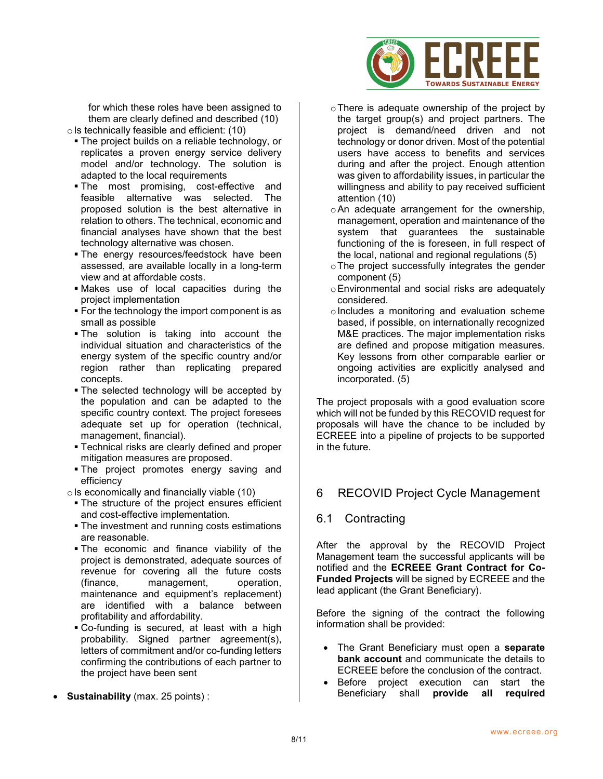

for which these roles have been assigned to them are clearly defined and described (10)  $\circ$  Is technically feasible and efficient: (10)

- **The project builds on a reliable technology, or** replicates a proven energy service delivery model and/or technology. The solution is adapted to the local requirements
- The most promising, cost-effective and feasible alternative was selected. The proposed solution is the best alternative in relation to others. The technical, economic and financial analyses have shown that the best technology alternative was chosen.
- **The energy resources/feedstock have been** assessed, are available locally in a long-term view and at affordable costs.
- Makes use of local capacities during the project implementation
- **For the technology the import component is as** small as possible
- The solution is taking into account the individual situation and characteristics of the energy system of the specific country and/or region rather than replicating prepared concepts.
- **The selected technology will be accepted by** the population and can be adapted to the specific country context. The project foresees adequate set up for operation (technical, management, financial).
- **Technical risks are clearly defined and proper** mitigation measures are proposed.
- **The project promotes energy saving and** efficiency

 $\circ$  Is economically and financially viable (10)

- **The structure of the project ensures efficient** and cost-effective implementation.
- **The investment and running costs estimations** are reasonable.
- The economic and finance viability of the project is demonstrated, adequate sources of revenue for covering all the future costs (finance, management, operation, maintenance and equipment's replacement) are identified with a balance between profitability and affordability.
- Co-funding is secured, at least with a high probability. Signed partner agreement(s), letters of commitment and/or co-funding letters confirming the contributions of each partner to the project have been sent
- **Sustainability** (max. 25 points) :
- oThere is adequate ownership of the project by the target group(s) and project partners. The project is demand/need driven and not technology or donor driven. Most of the potential users have access to benefits and services during and after the project. Enough attention was given to affordability issues, in particular the willingness and ability to pay received sufficient attention (10)
- oAn adequate arrangement for the ownership, management, operation and maintenance of the system that guarantees the sustainable functioning of the is foreseen, in full respect of the local, national and regional regulations (5)
- oThe project successfully integrates the gender component (5)
- oEnvironmental and social risks are adequately considered.
- $\circ$  Includes a monitoring and evaluation scheme based, if possible, on internationally recognized M&E practices. The major implementation risks are defined and propose mitigation measures. Key lessons from other comparable earlier or ongoing activities are explicitly analysed and incorporated. (5)

The project proposals with a good evaluation score which will not be funded by this RECOVID request for proposals will have the chance to be included by ECREEE into a pipeline of projects to be supported in the future.

# 6 RECOVID Project Cycle Management

## 6.1 Contracting

After the approval by the RECOVID Project Management team the successful applicants will be notified and the **ECREEE Grant Contract for Co-Funded Projects** will be signed by ECREEE and the lead applicant (the Grant Beneficiary).

Before the signing of the contract the following information shall be provided:

- The Grant Beneficiary must open a **separate bank account** and communicate the details to ECREEE before the conclusion of the contract.
- Before project execution can start the Beneficiary shall **provide all required**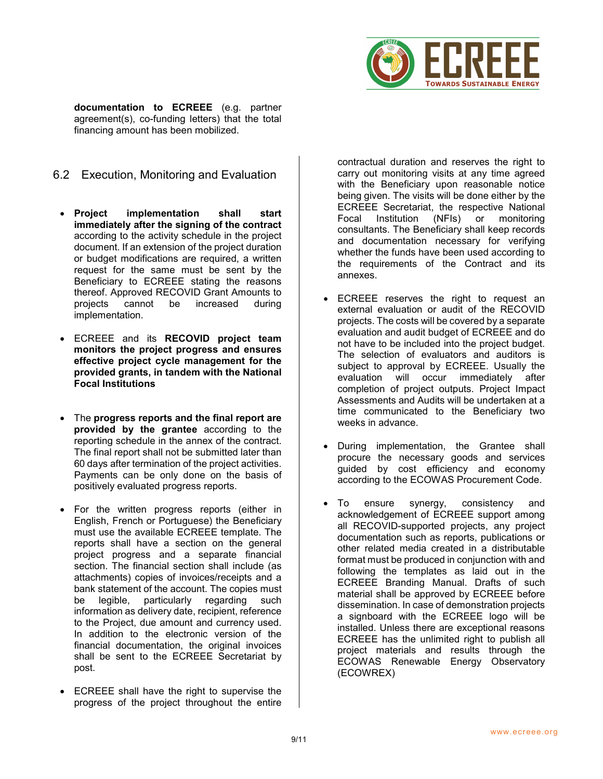

**documentation to ECREEE** (e.g. partner agreement(s), co-funding letters) that the total financing amount has been mobilized.

- 6.2 Execution, Monitoring and Evaluation
- **Project implementation shall start immediately after the signing of the contract** according to the activity schedule in the project document. If an extension of the project duration or budget modifications are required, a written request for the same must be sent by the Beneficiary to ECREEE stating the reasons thereof. Approved RECOVID Grant Amounts to<br>proiects cannot be increased during projects cannot be increased during implementation.
- ECREEE and its **RECOVID project team monitors the project progress and ensures effective project cycle management for the provided grants, in tandem with the National Focal Institutions**
- The **progress reports and the final report are provided by the grantee** according to the reporting schedule in the annex of the contract. The final report shall not be submitted later than 60 days after termination of the project activities. Payments can be only done on the basis of positively evaluated progress reports.
- For the written progress reports (either in English, French or Portuguese) the Beneficiary must use the available ECREEE template. The reports shall have a section on the general project progress and a separate financial section. The financial section shall include (as attachments) copies of invoices/receipts and a bank statement of the account. The copies must be legible, particularly regarding such information as delivery date, recipient, reference to the Project, due amount and currency used. In addition to the electronic version of the financial documentation, the original invoices shall be sent to the ECREEE Secretariat by post.
- ECREEE shall have the right to supervise the progress of the project throughout the entire

contractual duration and reserves the right to carry out monitoring visits at any time agreed with the Beneficiary upon reasonable notice being given. The visits will be done either by the ECREEE Secretariat, the respective National Focal Institution (NFIs) or monitoring consultants. The Beneficiary shall keep records and documentation necessary for verifying whether the funds have been used according to the requirements of the Contract and its annexes.

- ECREEE reserves the right to request an external evaluation or audit of the RECOVID projects. The costs will be covered by a separate evaluation and audit budget of ECREEE and do not have to be included into the project budget. The selection of evaluators and auditors is subject to approval by ECREEE. Usually the evaluation will occur immediately after completion of project outputs. Project Impact Assessments and Audits will be undertaken at a time communicated to the Beneficiary two weeks in advance.
- During implementation, the Grantee shall procure the necessary goods and services guided by cost efficiency and economy according to the ECOWAS Procurement Code.
- To ensure synergy, consistency and acknowledgement of ECREEE support among all RECOVID-supported projects, any project documentation such as reports, publications or other related media created in a distributable format must be produced in conjunction with and following the templates as laid out in the ECREEE Branding Manual. Drafts of such material shall be approved by ECREEE before dissemination. In case of demonstration projects a signboard with the ECREEE logo will be installed. Unless there are exceptional reasons ECREEE has the unlimited right to publish all project materials and results through the ECOWAS Renewable Energy Observatory (ECOWREX)